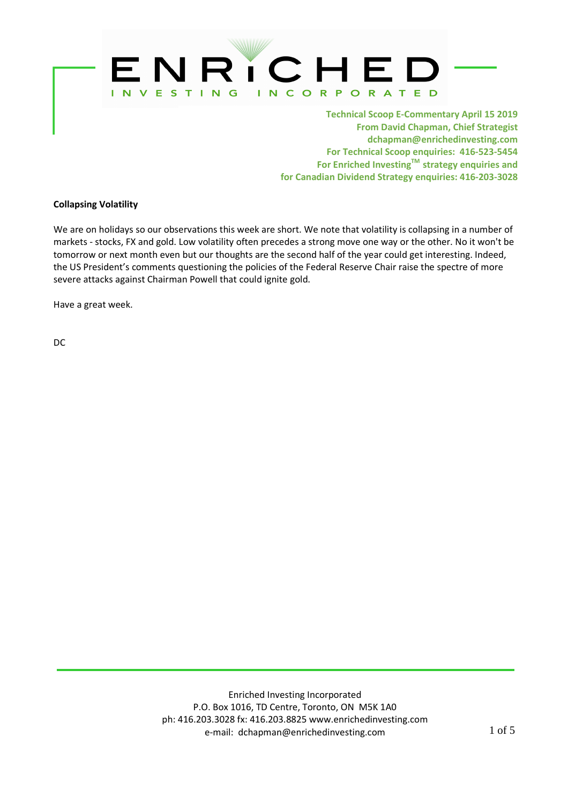

Technical Scoop E-Commentary April 15 2019 From David Chapman, Chief Strategist dchapman@enrichedinvesting.com For Technical Scoop enquiries: 416-523-5454 For Enriched Investing™ strategy enquiries and for Canadian Dividend Strategy enquiries: 416-203-3028

## Collapsing Volatility

We are on holidays so our observations this week are short. We note that volatility is collapsing in a number of markets - stocks, FX and gold. Low volatility often precedes a strong move one way or the other. No it won't be tomorrow or next month even but our thoughts are the second half of the year could get interesting. Indeed, the US President's comments questioning the policies of the Federal Reserve Chair raise the spectre of more severe attacks against Chairman Powell that could ignite gold.

Have a great week.

DC

ì,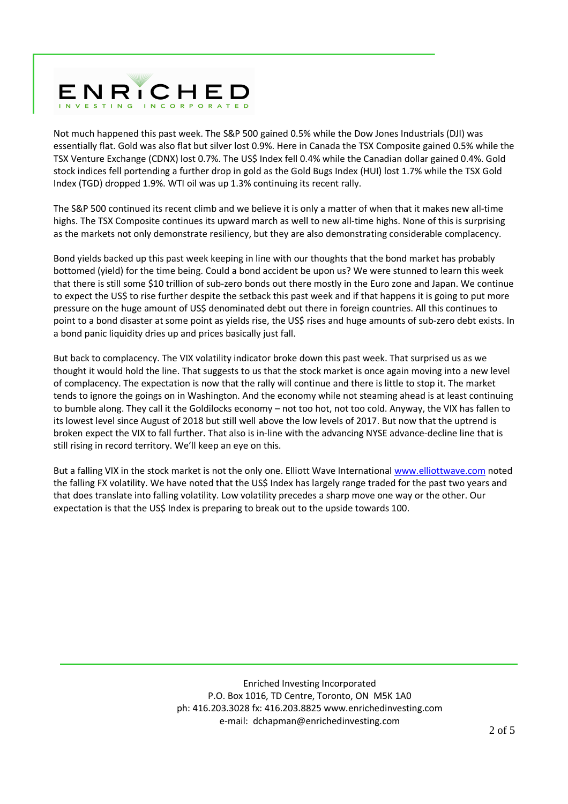

Not much happened this past week. The S&P 500 gained 0.5% while the Dow Jones Industrials (DJI) was essentially flat. Gold was also flat but silver lost 0.9%. Here in Canada the TSX Composite gained 0.5% while the TSX Venture Exchange (CDNX) lost 0.7%. The US\$ Index fell 0.4% while the Canadian dollar gained 0.4%. Gold stock indices fell portending a further drop in gold as the Gold Bugs Index (HUI) lost 1.7% while the TSX Gold Index (TGD) dropped 1.9%. WTI oil was up 1.3% continuing its recent rally.

The S&P 500 continued its recent climb and we believe it is only a matter of when that it makes new all-time highs. The TSX Composite continues its upward march as well to new all-time highs. None of this is surprising as the markets not only demonstrate resiliency, but they are also demonstrating considerable complacency.

Bond yields backed up this past week keeping in line with our thoughts that the bond market has probably bottomed (yield) for the time being. Could a bond accident be upon us? We were stunned to learn this week that there is still some \$10 trillion of sub-zero bonds out there mostly in the Euro zone and Japan. We continue to expect the US\$ to rise further despite the setback this past week and if that happens it is going to put more pressure on the huge amount of US\$ denominated debt out there in foreign countries. All this continues to point to a bond disaster at some point as yields rise, the US\$ rises and huge amounts of sub-zero debt exists. In a bond panic liquidity dries up and prices basically just fall.

But back to complacency. The VIX volatility indicator broke down this past week. That surprised us as we thought it would hold the line. That suggests to us that the stock market is once again moving into a new level of complacency. The expectation is now that the rally will continue and there is little to stop it. The market tends to ignore the goings on in Washington. And the economy while not steaming ahead is at least continuing to bumble along. They call it the Goldilocks economy – not too hot, not too cold. Anyway, the VIX has fallen to its lowest level since August of 2018 but still well above the low levels of 2017. But now that the uptrend is broken expect the VIX to fall further. That also is in-line with the advancing NYSE advance-decline line that is still rising in record territory. We'll keep an eye on this.

But a falling VIX in the stock market is not the only one. Elliott Wave International www.elliottwave.com noted the falling FX volatility. We have noted that the US\$ Index has largely range traded for the past two years and that does translate into falling volatility. Low volatility precedes a sharp move one way or the other. Our expectation is that the US\$ Index is preparing to break out to the upside towards 100.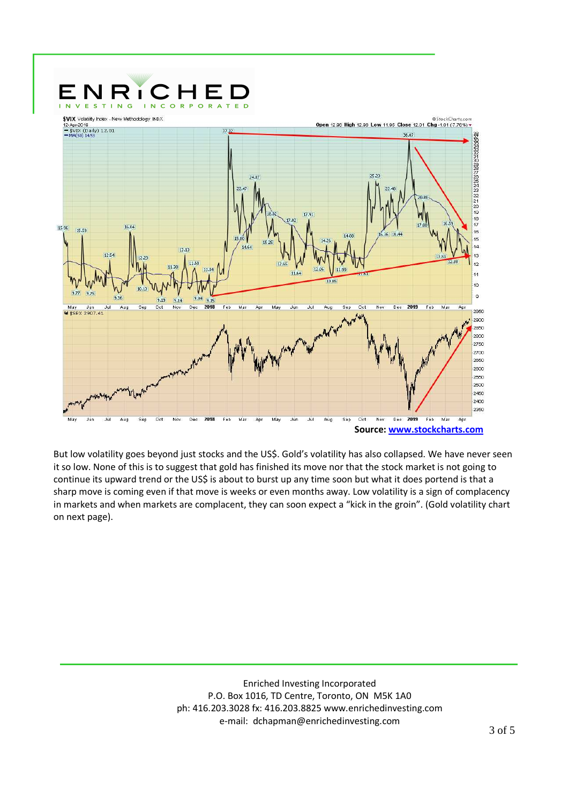

But low volatility goes beyond just stocks and the US\$. Gold's volatility has also collapsed. We have never seen it so low. None of this is to suggest that gold has finished its move nor that the stock market is not going to continue its upward trend or the US\$ is about to burst up any time soon but what it does portend is that a sharp move is coming even if that move is weeks or even months away. Low volatility is a sign of complacency in markets and when markets are complacent, they can soon expect a "kick in the groin". (Gold volatility chart on next page).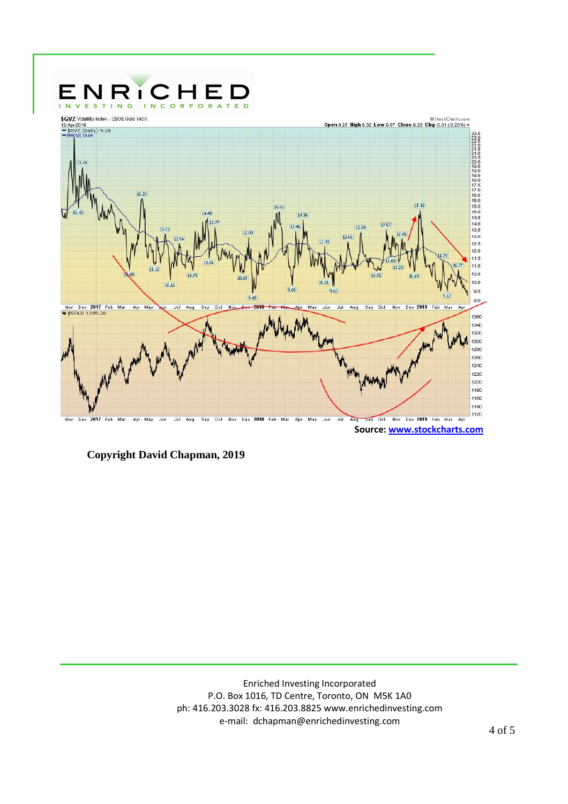